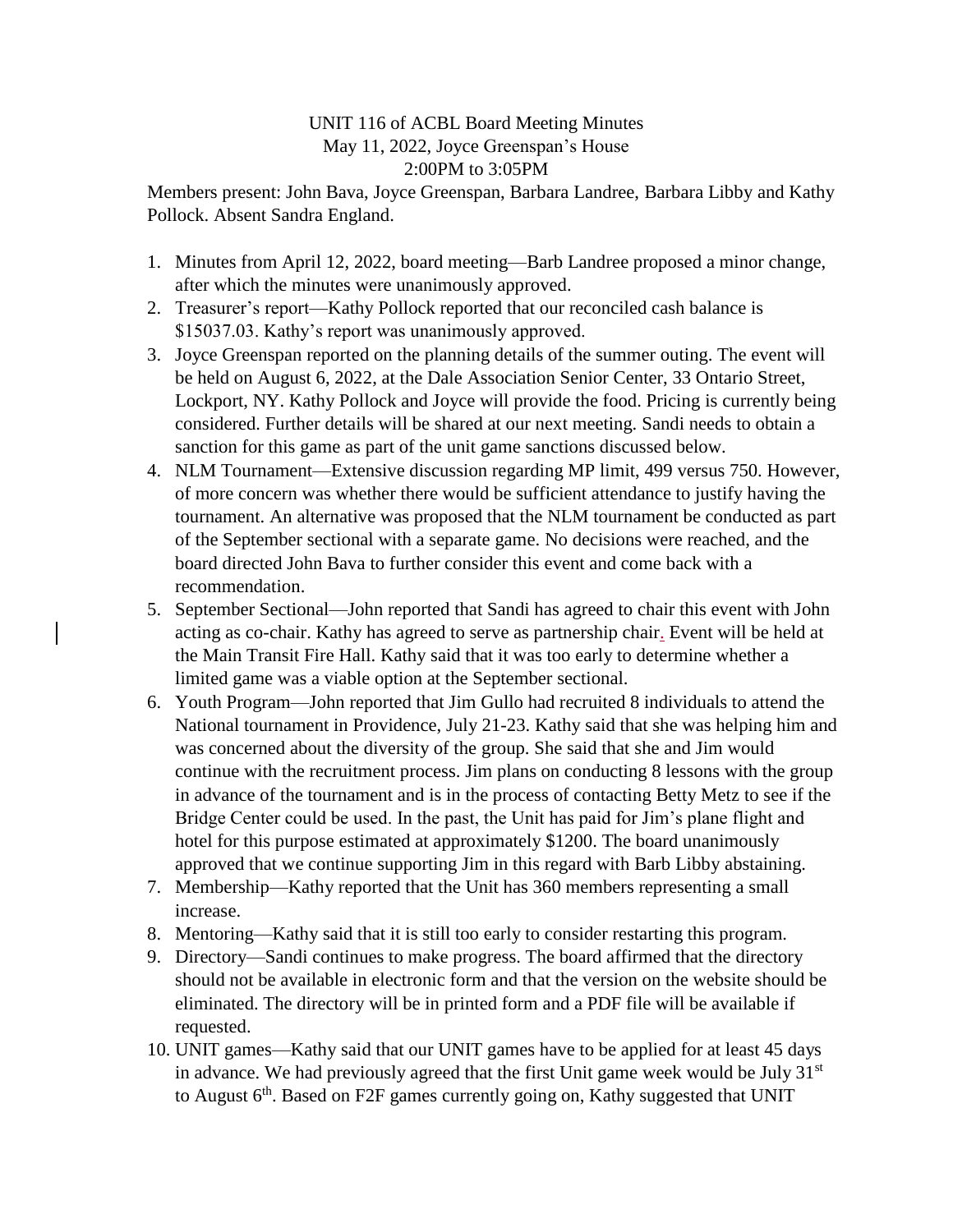## UNIT 116 of ACBL Board Meeting Minutes May 11, 2022, Joyce Greenspan's House 2:00PM to 3:05PM

Members present: John Bava, Joyce Greenspan, Barbara Landree, Barbara Libby and Kathy Pollock. Absent Sandra England.

- 1. Minutes from April 12, 2022, board meeting—Barb Landree proposed a minor change, after which the minutes were unanimously approved.
- 2. Treasurer's report—Kathy Pollock reported that our reconciled cash balance is \$15037.03. Kathy's report was unanimously approved.
- 3. Joyce Greenspan reported on the planning details of the summer outing. The event will be held on August 6, 2022, at the Dale Association Senior Center, 33 Ontario Street, Lockport, NY. Kathy Pollock and Joyce will provide the food. Pricing is currently being considered. Further details will be shared at our next meeting. Sandi needs to obtain a sanction for this game as part of the unit game sanctions discussed below.
- 4. NLM Tournament—Extensive discussion regarding MP limit, 499 versus 750. However, of more concern was whether there would be sufficient attendance to justify having the tournament. An alternative was proposed that the NLM tournament be conducted as part of the September sectional with a separate game. No decisions were reached, and the board directed John Bava to further consider this event and come back with a recommendation.
- 5. September Sectional—John reported that Sandi has agreed to chair this event with John acting as co-chair. Kathy has agreed to serve as partnership chair. Event will be held at the Main Transit Fire Hall. Kathy said that it was too early to determine whether a limited game was a viable option at the September sectional.
- 6. Youth Program—John reported that Jim Gullo had recruited 8 individuals to attend the National tournament in Providence, July 21-23. Kathy said that she was helping him and was concerned about the diversity of the group. She said that she and Jim would continue with the recruitment process. Jim plans on conducting 8 lessons with the group in advance of the tournament and is in the process of contacting Betty Metz to see if the Bridge Center could be used. In the past, the Unit has paid for Jim's plane flight and hotel for this purpose estimated at approximately \$1200. The board unanimously approved that we continue supporting Jim in this regard with Barb Libby abstaining.
- 7. Membership—Kathy reported that the Unit has 360 members representing a small increase.
- 8. Mentoring—Kathy said that it is still too early to consider restarting this program.
- 9. Directory—Sandi continues to make progress. The board affirmed that the directory should not be available in electronic form and that the version on the website should be eliminated. The directory will be in printed form and a PDF file will be available if requested.
- 10. UNIT games—Kathy said that our UNIT games have to be applied for at least 45 days in advance. We had previously agreed that the first Unit game week would be July  $31<sup>st</sup>$ to August  $6<sup>th</sup>$ . Based on F2F games currently going on, Kathy suggested that UNIT